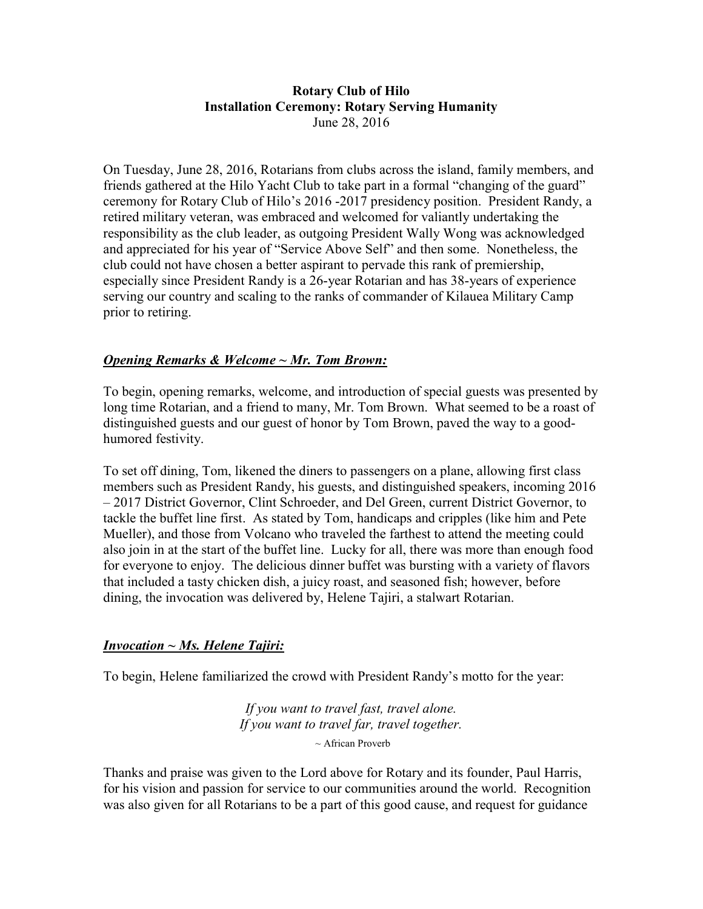#### Rotary Club of Hilo Installation Ceremony: Rotary Serving Humanity June 28, 2016

On Tuesday, June 28, 2016, Rotarians from clubs across the island, family members, and friends gathered at the Hilo Yacht Club to take part in a formal "changing of the guard" ceremony for Rotary Club of Hilo's 2016 -2017 presidency position. President Randy, a retired military veteran, was embraced and welcomed for valiantly undertaking the responsibility as the club leader, as outgoing President Wally Wong was acknowledged and appreciated for his year of "Service Above Self" and then some. Nonetheless, the club could not have chosen a better aspirant to pervade this rank of premiership, especially since President Randy is a 26-year Rotarian and has 38-years of experience serving our country and scaling to the ranks of commander of Kilauea Military Camp prior to retiring.

### **Opening Remarks & Welcome**  $\sim$  **Mr. Tom Brown:**

To begin, opening remarks, welcome, and introduction of special guests was presented by long time Rotarian, and a friend to many, Mr. Tom Brown. What seemed to be a roast of distinguished guests and our guest of honor by Tom Brown, paved the way to a goodhumored festivity.

To set off dining, Tom, likened the diners to passengers on a plane, allowing first class members such as President Randy, his guests, and distinguished speakers, incoming 2016 – 2017 District Governor, Clint Schroeder, and Del Green, current District Governor, to tackle the buffet line first. As stated by Tom, handicaps and cripples (like him and Pete Mueller), and those from Volcano who traveled the farthest to attend the meeting could also join in at the start of the buffet line. Lucky for all, there was more than enough food for everyone to enjoy. The delicious dinner buffet was bursting with a variety of flavors that included a tasty chicken dish, a juicy roast, and seasoned fish; however, before dining, the invocation was delivered by, Helene Tajiri, a stalwart Rotarian.

#### Invocation ~ Ms. Helene Tajiri:

To begin, Helene familiarized the crowd with President Randy's motto for the year:

If you want to travel fast, travel alone. If you want to travel far, travel together.  $\sim$  African Proverb

Thanks and praise was given to the Lord above for Rotary and its founder, Paul Harris, for his vision and passion for service to our communities around the world. Recognition was also given for all Rotarians to be a part of this good cause, and request for guidance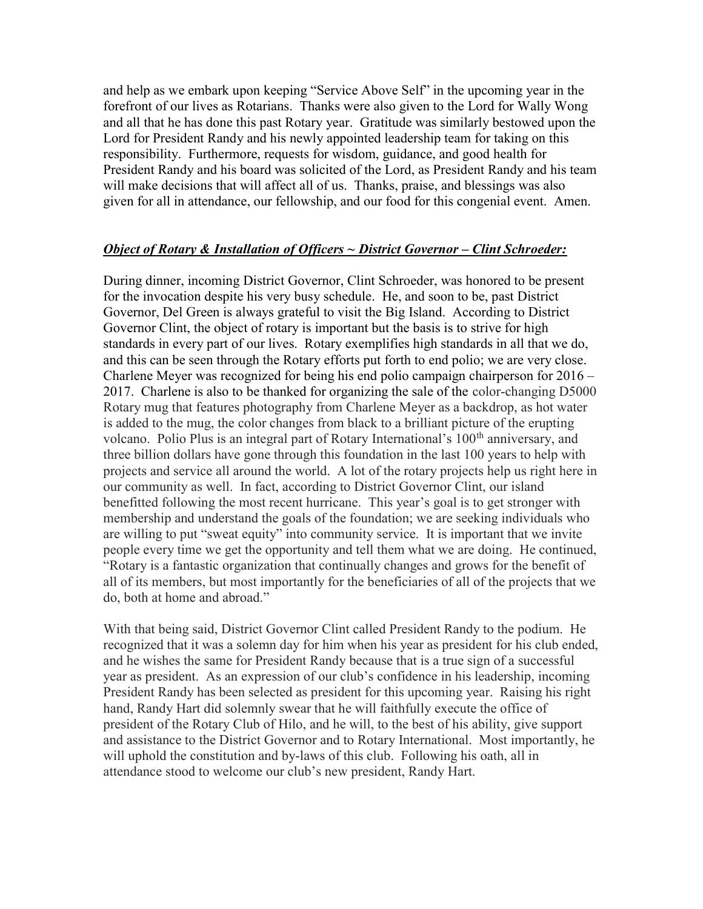and help as we embark upon keeping "Service Above Self" in the upcoming year in the forefront of our lives as Rotarians. Thanks were also given to the Lord for Wally Wong and all that he has done this past Rotary year. Gratitude was similarly bestowed upon the Lord for President Randy and his newly appointed leadership team for taking on this responsibility. Furthermore, requests for wisdom, guidance, and good health for President Randy and his board was solicited of the Lord, as President Randy and his team will make decisions that will affect all of us. Thanks, praise, and blessings was also given for all in attendance, our fellowship, and our food for this congenial event. Amen.

#### Object of Rotary & Installation of Officers ~ District Governor – Clint Schroeder:

During dinner, incoming District Governor, Clint Schroeder, was honored to be present for the invocation despite his very busy schedule. He, and soon to be, past District Governor, Del Green is always grateful to visit the Big Island. According to District Governor Clint, the object of rotary is important but the basis is to strive for high standards in every part of our lives. Rotary exemplifies high standards in all that we do, and this can be seen through the Rotary efforts put forth to end polio; we are very close. Charlene Meyer was recognized for being his end polio campaign chairperson for 2016 – 2017. Charlene is also to be thanked for organizing the sale of the color-changing D5000 Rotary mug that features photography from Charlene Meyer as a backdrop, as hot water is added to the mug, the color changes from black to a brilliant picture of the erupting volcano. Polio Plus is an integral part of Rotary International's 100<sup>th</sup> anniversary, and three billion dollars have gone through this foundation in the last 100 years to help with projects and service all around the world. A lot of the rotary projects help us right here in our community as well. In fact, according to District Governor Clint, our island benefitted following the most recent hurricane. This year's goal is to get stronger with membership and understand the goals of the foundation; we are seeking individuals who are willing to put "sweat equity" into community service. It is important that we invite people every time we get the opportunity and tell them what we are doing. He continued, "Rotary is a fantastic organization that continually changes and grows for the benefit of all of its members, but most importantly for the beneficiaries of all of the projects that we do, both at home and abroad."

With that being said, District Governor Clint called President Randy to the podium. He recognized that it was a solemn day for him when his year as president for his club ended, and he wishes the same for President Randy because that is a true sign of a successful year as president. As an expression of our club's confidence in his leadership, incoming President Randy has been selected as president for this upcoming year. Raising his right hand, Randy Hart did solemnly swear that he will faithfully execute the office of president of the Rotary Club of Hilo, and he will, to the best of his ability, give support and assistance to the District Governor and to Rotary International. Most importantly, he will uphold the constitution and by-laws of this club. Following his oath, all in attendance stood to welcome our club's new president, Randy Hart.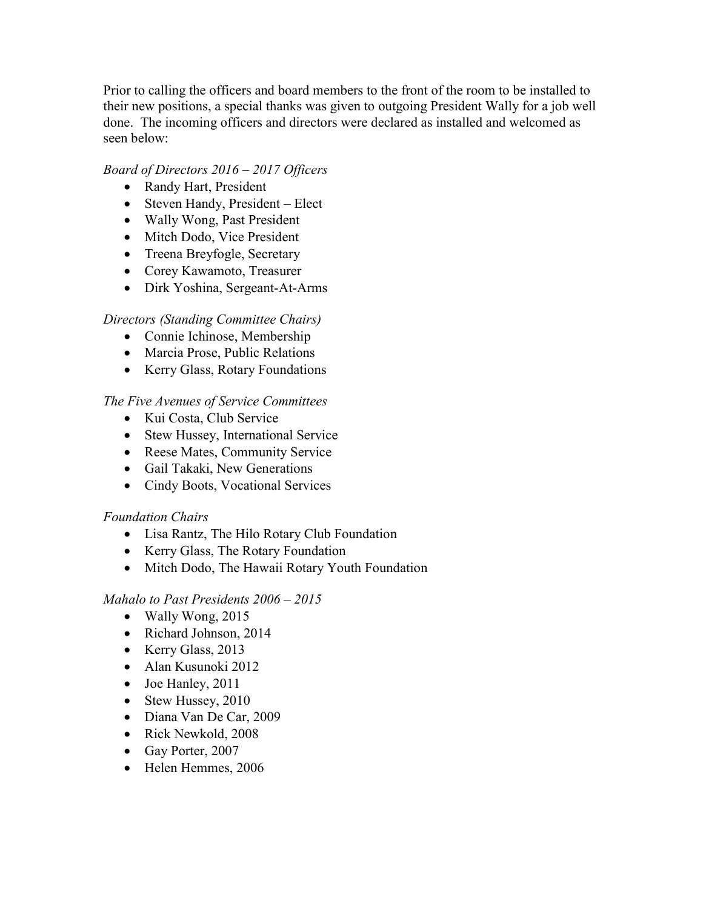Prior to calling the officers and board members to the front of the room to be installed to their new positions, a special thanks was given to outgoing President Wally for a job well done. The incoming officers and directors were declared as installed and welcomed as seen below:

### Board of Directors 2016 – 2017 Officers

- Randy Hart, President
- Steven Handy, President Elect
- Wally Wong, Past President
- Mitch Dodo, Vice President
- Treena Breyfogle, Secretary
- Corey Kawamoto, Treasurer
- Dirk Yoshina, Sergeant-At-Arms

## Directors (Standing Committee Chairs)

- Connie Ichinose, Membership
- Marcia Prose, Public Relations
- Kerry Glass, Rotary Foundations

The Five Avenues of Service Committees

- Kui Costa, Club Service
- Stew Hussey, International Service
- Reese Mates, Community Service
- Gail Takaki, New Generations
- Cindy Boots, Vocational Services

### Foundation Chairs

- Lisa Rantz, The Hilo Rotary Club Foundation
- Kerry Glass, The Rotary Foundation
- Mitch Dodo, The Hawaii Rotary Youth Foundation

Mahalo to Past Presidents 2006 – 2015

- Wally Wong, 2015
- Richard Johnson, 2014
- Kerry Glass, 2013
- Alan Kusunoki 2012
- Joe Hanley, 2011
- Stew Hussey, 2010
- Diana Van De Car, 2009
- Rick Newkold, 2008
- Gay Porter, 2007
- Helen Hemmes, 2006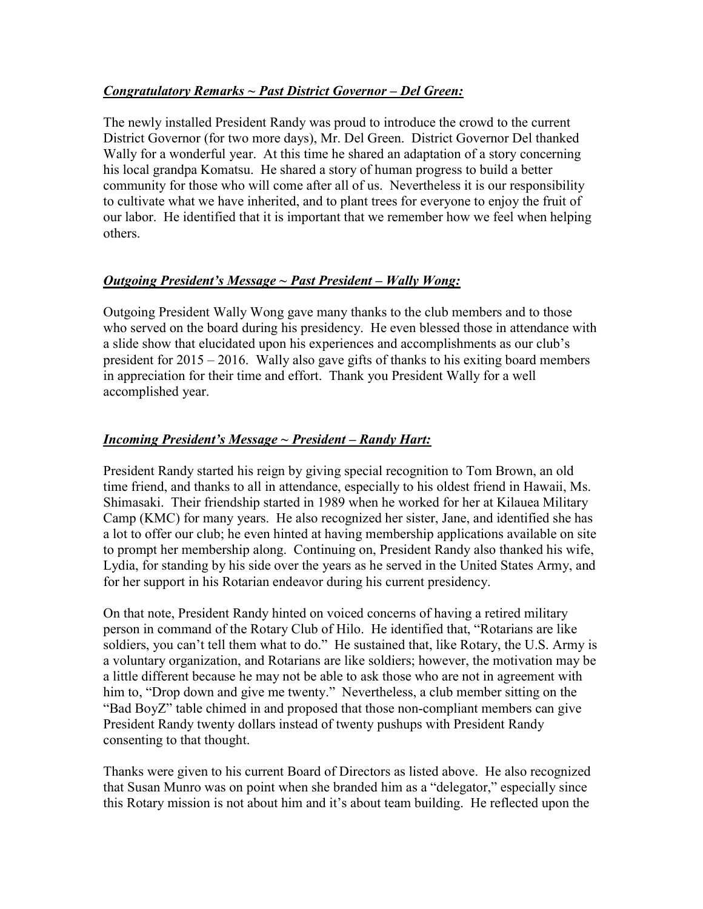### Congratulatory Remarks ~ Past District Governor – Del Green:

The newly installed President Randy was proud to introduce the crowd to the current District Governor (for two more days), Mr. Del Green. District Governor Del thanked Wally for a wonderful year. At this time he shared an adaptation of a story concerning his local grandpa Komatsu. He shared a story of human progress to build a better community for those who will come after all of us. Nevertheless it is our responsibility to cultivate what we have inherited, and to plant trees for everyone to enjoy the fruit of our labor. He identified that it is important that we remember how we feel when helping others.

### Outgoing President's Message ~ Past President – Wally Wong:

Outgoing President Wally Wong gave many thanks to the club members and to those who served on the board during his presidency. He even blessed those in attendance with a slide show that elucidated upon his experiences and accomplishments as our club's president for 2015 – 2016. Wally also gave gifts of thanks to his exiting board members in appreciation for their time and effort. Thank you President Wally for a well accomplished year.

# Incoming President's Message ~ President – Randy Hart:

President Randy started his reign by giving special recognition to Tom Brown, an old time friend, and thanks to all in attendance, especially to his oldest friend in Hawaii, Ms. Shimasaki. Their friendship started in 1989 when he worked for her at Kilauea Military Camp (KMC) for many years. He also recognized her sister, Jane, and identified she has a lot to offer our club; he even hinted at having membership applications available on site to prompt her membership along. Continuing on, President Randy also thanked his wife, Lydia, for standing by his side over the years as he served in the United States Army, and for her support in his Rotarian endeavor during his current presidency.

On that note, President Randy hinted on voiced concerns of having a retired military person in command of the Rotary Club of Hilo. He identified that, "Rotarians are like soldiers, you can't tell them what to do." He sustained that, like Rotary, the U.S. Army is a voluntary organization, and Rotarians are like soldiers; however, the motivation may be a little different because he may not be able to ask those who are not in agreement with him to, "Drop down and give me twenty." Nevertheless, a club member sitting on the "Bad BoyZ" table chimed in and proposed that those non-compliant members can give President Randy twenty dollars instead of twenty pushups with President Randy consenting to that thought.

Thanks were given to his current Board of Directors as listed above. He also recognized that Susan Munro was on point when she branded him as a "delegator," especially since this Rotary mission is not about him and it's about team building. He reflected upon the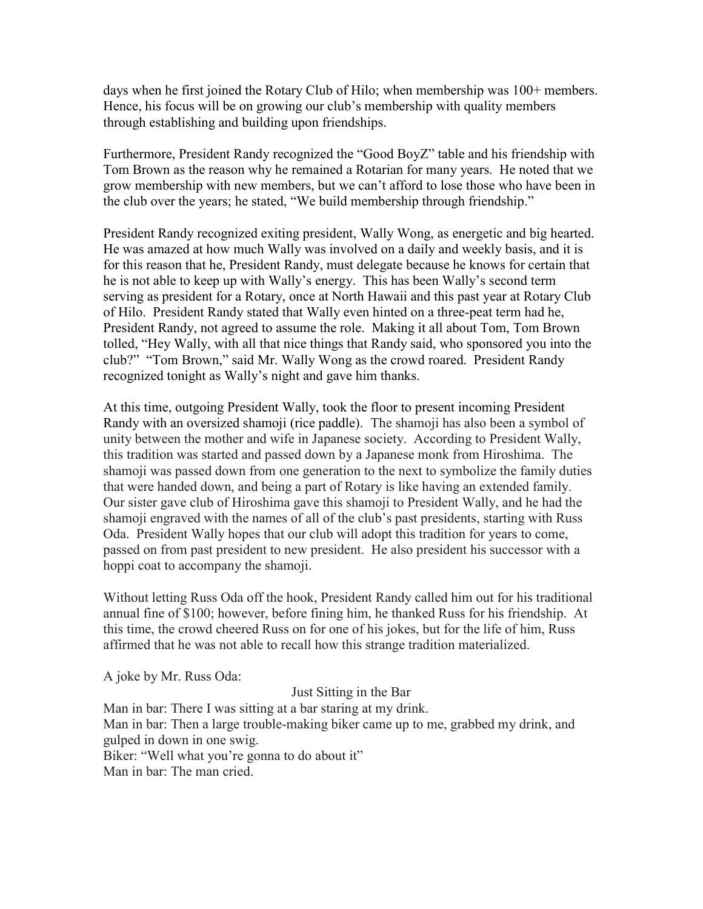days when he first joined the Rotary Club of Hilo; when membership was 100+ members. Hence, his focus will be on growing our club's membership with quality members through establishing and building upon friendships.

Furthermore, President Randy recognized the "Good BoyZ" table and his friendship with Tom Brown as the reason why he remained a Rotarian for many years. He noted that we grow membership with new members, but we can't afford to lose those who have been in the club over the years; he stated, "We build membership through friendship."

President Randy recognized exiting president, Wally Wong, as energetic and big hearted. He was amazed at how much Wally was involved on a daily and weekly basis, and it is for this reason that he, President Randy, must delegate because he knows for certain that he is not able to keep up with Wally's energy. This has been Wally's second term serving as president for a Rotary, once at North Hawaii and this past year at Rotary Club of Hilo. President Randy stated that Wally even hinted on a three-peat term had he, President Randy, not agreed to assume the role. Making it all about Tom, Tom Brown tolled, "Hey Wally, with all that nice things that Randy said, who sponsored you into the club?" "Tom Brown," said Mr. Wally Wong as the crowd roared. President Randy recognized tonight as Wally's night and gave him thanks.

At this time, outgoing President Wally, took the floor to present incoming President Randy with an oversized shamoji (rice paddle). The shamoji has also been a symbol of unity between the mother and wife in Japanese society. According to President Wally, this tradition was started and passed down by a Japanese monk from Hiroshima. The shamoji was passed down from one generation to the next to symbolize the family duties that were handed down, and being a part of Rotary is like having an extended family. Our sister gave club of Hiroshima gave this shamoji to President Wally, and he had the shamoji engraved with the names of all of the club's past presidents, starting with Russ Oda. President Wally hopes that our club will adopt this tradition for years to come, passed on from past president to new president. He also president his successor with a hoppi coat to accompany the shamoji.

Without letting Russ Oda off the hook, President Randy called him out for his traditional annual fine of \$100; however, before fining him, he thanked Russ for his friendship. At this time, the crowd cheered Russ on for one of his jokes, but for the life of him, Russ affirmed that he was not able to recall how this strange tradition materialized.

A joke by Mr. Russ Oda:

Just Sitting in the Bar

Man in bar: There I was sitting at a bar staring at my drink. Man in bar: Then a large trouble-making biker came up to me, grabbed my drink, and gulped in down in one swig. Biker: "Well what you're gonna to do about it" Man in bar: The man cried.